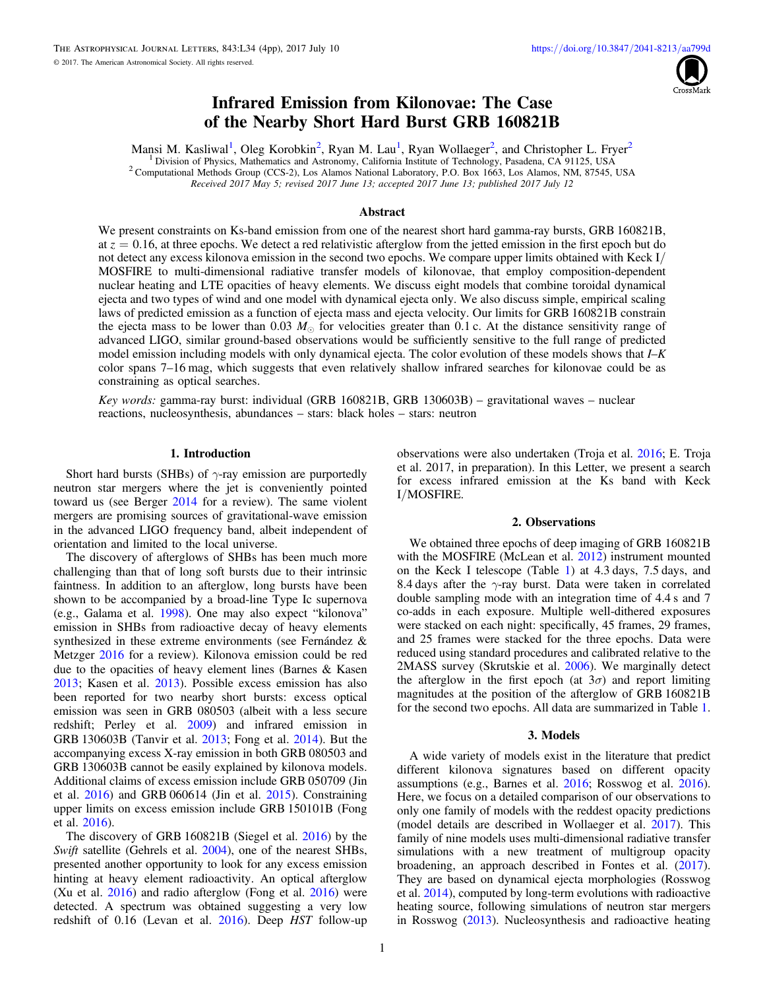

# Infrared Emission from Kilonovae: The Case of the Nearby Short Hard Burst GRB 160821B

<span id="page-0-0"></span>Mansi M. Kasliwal<sup>1</sup>, Oleg Korobkin<sup>2</sup>, Ryan M. Lau<sup>1</sup>, Ryan Wollaeger<sup>2</sup>, and Christopher L. Fryer<sup>2</sup> <sup>1</sup> Division of Physics, Mathematics and Astronomy, California Institute of Technology, Pasadena, CA 91125, USA <sup>2</sup> Computational Methods Group (CCS-2), Los Alamos National Laboratory, P.O. Box 1663, Los Alamos, NM, 87545, Received 2017 May 5; revised 2017 June 13; accepted 2017 June 13; published 2017 July 12

## Abstract

We present constraints on Ks-band emission from one of the nearest short hard gamma-ray bursts, GRB 160821B, at  $z = 0.16$ , at three epochs. We detect a red relativistic afterglow from the jetted emission in the first epoch but do not detect any excess kilonova emission in the second two epochs. We compare upper limits obtained with Keck I/ MOSFIRE to multi-dimensional radiative transfer models of kilonovae, that employ composition-dependent nuclear heating and LTE opacities of heavy elements. We discuss eight models that combine toroidal dynamical ejecta and two types of wind and one model with dynamical ejecta only. We also discuss simple, empirical scaling laws of predicted emission as a function of ejecta mass and ejecta velocity. Our limits for GRB 160821B constrain the ejecta mass to be lower than 0.03  $M_{\odot}$  for velocities greater than 0.1 c. At the distance sensitivity range of advanced LIGO, similar ground-based observations would be sufficiently sensitive to the full range of predicted model emission including models with only dynamical ejecta. The color evolution of these models shows that  $I-K$ color spans 7–16 mag, which suggests that even relatively shallow infrared searches for kilonovae could be as constraining as optical searches.

Key words: gamma-ray burst: individual (GRB 160821B, GRB 130603B) – gravitational waves – nuclear reactions, nucleosynthesis, abundances – stars: black holes – stars: neutron

## 1. Introduction

Short hard bursts (SHBs) of  $\gamma$ -ray emission are purportedly neutron star mergers where the jet is conveniently pointed toward us (see Berger [2014](#page-3-0) for a review). The same violent mergers are promising sources of gravitational-wave emission in the advanced LIGO frequency band, albeit independent of orientation and limited to the local universe.

The discovery of afterglows of SHBs has been much more challenging than that of long soft bursts due to their intrinsic faintness. In addition to an afterglow, long bursts have been shown to be accompanied by a broad-line Type Ic supernova (e.g., Galama et al. [1998](#page-3-0)). One may also expect "kilonova" emission in SHBs from radioactive decay of heavy elements synthesized in these extreme environments (see Fernández & Metzger [2016](#page-3-0) for a review). Kilonova emission could be red due to the opacities of heavy element lines (Barnes & Kasen [2013;](#page-3-0) Kasen et al. [2013](#page-3-0)). Possible excess emission has also been reported for two nearby short bursts: excess optical emission was seen in GRB 080503 (albeit with a less secure redshift; Perley et al. [2009](#page-3-0)) and infrared emission in GRB 130603B (Tanvir et al. [2013;](#page-3-0) Fong et al. [2014](#page-3-0)). But the accompanying excess X-ray emission in both GRB 080503 and GRB 130603B cannot be easily explained by kilonova models. Additional claims of excess emission include GRB 050709 (Jin et al. [2016](#page-3-0)) and GRB 060614 (Jin et al. [2015](#page-3-0)). Constraining upper limits on excess emission include GRB 150101B (Fong et al. [2016](#page-3-0)).

The discovery of GRB 160821B (Siegel et al. [2016](#page-3-0)) by the Swift satellite (Gehrels et al. [2004](#page-3-0)), one of the nearest SHBs, presented another opportunity to look for any excess emission hinting at heavy element radioactivity. An optical afterglow (Xu et al. [2016](#page-3-0)) and radio afterglow (Fong et al. [2016](#page-3-0)) were detected. A spectrum was obtained suggesting a very low redshift of 0.16 (Levan et al. [2016](#page-3-0)). Deep HST follow-up

observations were also undertaken (Troja et al. [2016](#page-3-0); E. Troja et al. 2017, in preparation). In this Letter, we present a search for excess infrared emission at the Ks band with Keck I/MOSFIRE.

#### 2. Observations

We obtained three epochs of deep imaging of GRB 160821B with the MOSFIRE (McLean et al. [2012](#page-3-0)) instrument mounted on the Keck I telescope (Table [1](#page-1-0)) at 4.3 days, 7.5 days, and 8.4 days after the  $\gamma$ -ray burst. Data were taken in correlated double sampling mode with an integration time of 4.4 s and 7 co-adds in each exposure. Multiple well-dithered exposures were stacked on each night: specifically, 45 frames, 29 frames, and 25 frames were stacked for the three epochs. Data were reduced using standard procedures and calibrated relative to the 2MASS survey (Skrutskie et al. [2006](#page-3-0)). We marginally detect the afterglow in the first epoch (at  $3\sigma$ ) and report limiting magnitudes at the position of the afterglow of GRB 160821B for the second two epochs. All data are summarized in Table [1](#page-1-0).

#### 3. Models

A wide variety of models exist in the literature that predict different kilonova signatures based on different opacity assumptions (e.g., Barnes et al. [2016](#page-3-0); Rosswog et al. [2016](#page-3-0)). Here, we focus on a detailed comparison of our observations to only one family of models with the reddest opacity predictions (model details are described in Wollaeger et al. [2017](#page-3-0)). This family of nine models uses multi-dimensional radiative transfer simulations with a new treatment of multigroup opacity broadening, an approach described in Fontes et al. ([2017](#page-3-0)). They are based on dynamical ejecta morphologies (Rosswog et al. [2014](#page-3-0)), computed by long-term evolutions with radioactive heating source, following simulations of neutron star mergers in Rosswog ([2013](#page-3-0)). Nucleosynthesis and radioactive heating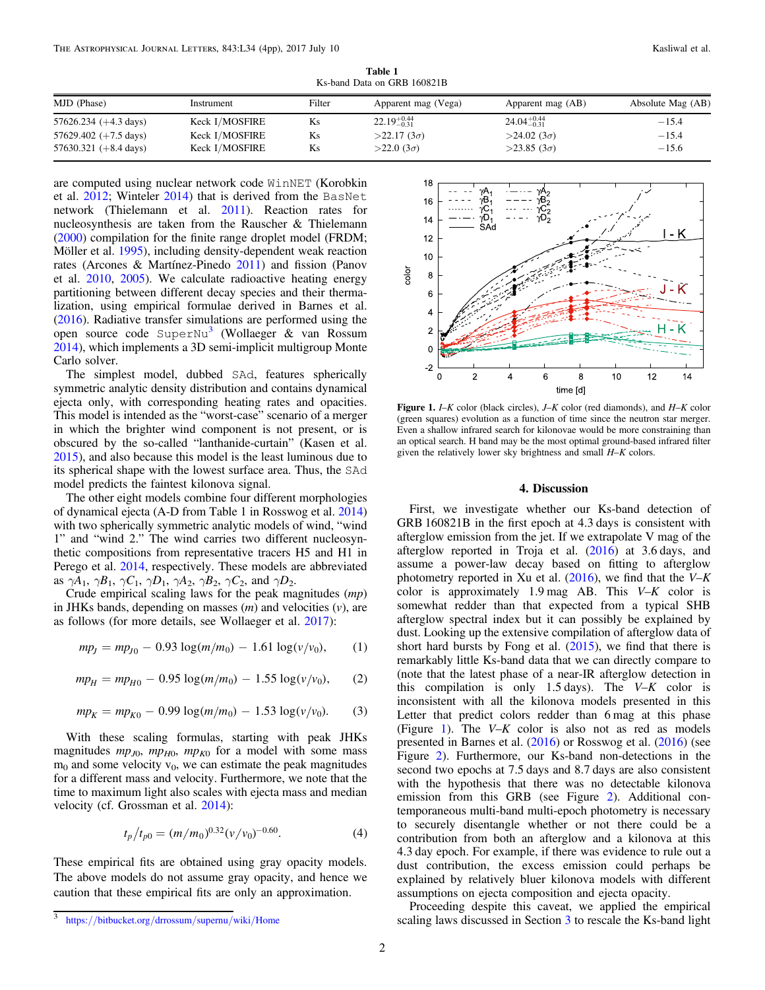Table 1 Ks-band Data on GRB 160821B

<span id="page-1-0"></span>

| MJD (Phase)                     | Instrument     | Filter | Apparent mag (Vega)     | Apparent mag (AB)       | Absolute Mag (AB) |
|---------------------------------|----------------|--------|-------------------------|-------------------------|-------------------|
| 57626.234 $(+4.3 \text{ days})$ | Keck I/MOSFIRE | Κs     | $22.19_{-0.31}^{+0.44}$ | $24.04_{-0.31}^{+0.44}$ | $-15.4$           |
| 57629.402 $(+7.5 \text{ days})$ | Keck I/MOSFIRE | Ks     | $>22.17(3\sigma)$       | $>24.02(3\sigma)$       | $-15.4$           |
| 57630.321 $(+8.4 \text{ days})$ | Keck I/MOSFIRE | Ks     | $>22.0(3\sigma)$        | $>$ 23.85 (3 $\sigma$ ) | $-15.6$           |

are computed using nuclear network code WinNET (Korobkin et al. [2012;](#page-3-0) Winteler [2014](#page-3-0)) that is derived from the BasNet network (Thielemann et al. [2011](#page-3-0)). Reaction rates for nucleosynthesis are taken from the Rauscher & Thielemann ([2000](#page-3-0)) compilation for the finite range droplet model (FRDM; Möller et al. [1995](#page-3-0)), including density-dependent weak reaction rates (Arcones & Martínez-Pinedo [2011](#page-3-0)) and fission (Panov et al. [2010](#page-3-0), [2005](#page-3-0)). We calculate radioactive heating energy partitioning between different decay species and their thermalization, using empirical formulae derived in Barnes et al. ([2016](#page-3-0)). Radiative transfer simulations are performed using the open source code SuperNu<sup>3</sup> (Wollaeger  $\&$  van Rossum [2014](#page-3-0)), which implements a 3D semi-implicit multigroup Monte Carlo solver.

The simplest model, dubbed SAd, features spherically symmetric analytic density distribution and contains dynamical ejecta only, with corresponding heating rates and opacities. This model is intended as the "worst-case" scenario of a merger in which the brighter wind component is not present, or is obscured by the so-called "lanthanide-curtain" (Kasen et al. [2015](#page-3-0)), and also because this model is the least luminous due to its spherical shape with the lowest surface area. Thus, the SAd model predicts the faintest kilonova signal.

The other eight models combine four different morphologies of dynamical ejecta (A-D from Table 1 in Rosswog et al. [2014](#page-3-0)) with two spherically symmetric analytic models of wind, "wind 1" and "wind 2." The wind carries two different nucleosynthetic compositions from representative tracers H5 and H1 in Perego et al. [2014](#page-3-0), respectively. These models are abbreviated as  $\gamma A_1$ ,  $\gamma B_1$ ,  $\gamma C_1$ ,  $\gamma D_1$ ,  $\gamma A_2$ ,  $\gamma B_2$ ,  $\gamma C_2$ , and  $\gamma D_2$ .

Crude empirical scaling laws for the peak magnitudes (mp) in JHKs bands, depending on masses  $(m)$  and velocities  $(v)$ , are as follows (for more details, see Wollaeger et al. [2017](#page-3-0)):

$$
mp_J = mp_{J0} - 0.93 \log(m/m_0) - 1.61 \log(v/v_0), \quad (1)
$$

$$
mp_H = mp_{H0} - 0.95 \log(m/m_0) - 1.55 \log(v/v_0), \quad (2)
$$

$$
mpK = mpK0 - 0.99 \log(m/m0) - 1.53 \log(v/v0).
$$
 (3)

With these scaling formulas, starting with peak JHKs magnitudes  $mp_{J0}$ ,  $mp_{H0}$ ,  $mp_{K0}$  for a model with some mass  $m<sub>0</sub>$  and some velocity v<sub>0</sub>, we can estimate the peak magnitudes for a different mass and velocity. Furthermore, we note that the time to maximum light also scales with ejecta mass and median velocity (cf. Grossman et al. [2014](#page-3-0)):

$$
t_p/t_{p0} = (m/m_0)^{0.32} (\nu/\nu_0)^{-0.60}.
$$
 (4)

These empirical fits are obtained using gray opacity models. The above models do not assume gray opacity, and hence we caution that these empirical fits are only an approximation.





Figure 1. I–K color (black circles), J–K color (red diamonds), and H–K color (green squares) evolution as a function of time since the neutron star merger. Even a shallow infrared search for kilonovae would be more constraining than an optical search. H band may be the most optimal ground-based infrared filter given the relatively lower sky brightness and small H–K colors.

### 4. Discussion

First, we investigate whether our Ks-band detection of GRB 160821B in the first epoch at 4.3 days is consistent with afterglow emission from the jet. If we extrapolate V mag of the afterglow reported in Troja et al.  $(2016)$  $(2016)$  $(2016)$  at 3.6 days, and assume a power-law decay based on fitting to afterglow photometry reported in Xu et al.  $(2016)$  $(2016)$  $(2016)$ , we find that the V–K color is approximately 1.9 mag AB. This  $V-K$  color is somewhat redder than that expected from a typical SHB afterglow spectral index but it can possibly be explained by dust. Looking up the extensive compilation of afterglow data of short hard bursts by Fong et al.  $(2015)$  $(2015)$  $(2015)$ , we find that there is remarkably little Ks-band data that we can directly compare to (note that the latest phase of a near-IR afterglow detection in this compilation is only 1.5 days). The  $V-K$  color is inconsistent with all the kilonova models presented in this Letter that predict colors redder than 6 mag at this phase (Figure 1). The  $V-K$  color is also not as red as models presented in Barnes et al. ([2016](#page-3-0)) or Rosswog et al. ([2016](#page-3-0)) (see Figure [2](#page-2-0)). Furthermore, our Ks-band non-detections in the second two epochs at 7.5 days and 8.7 days are also consistent with the hypothesis that there was no detectable kilonova emission from this GRB (see Figure [2](#page-2-0)). Additional contemporaneous multi-band multi-epoch photometry is necessary to securely disentangle whether or not there could be a contribution from both an afterglow and a kilonova at this 4.3 day epoch. For example, if there was evidence to rule out a dust contribution, the excess emission could perhaps be explained by relatively bluer kilonova models with different assumptions on ejecta composition and ejecta opacity.

Proceeding despite this caveat, we applied the empirical scaling laws discussed in Section [3](#page-0-0) to rescale the Ks-band light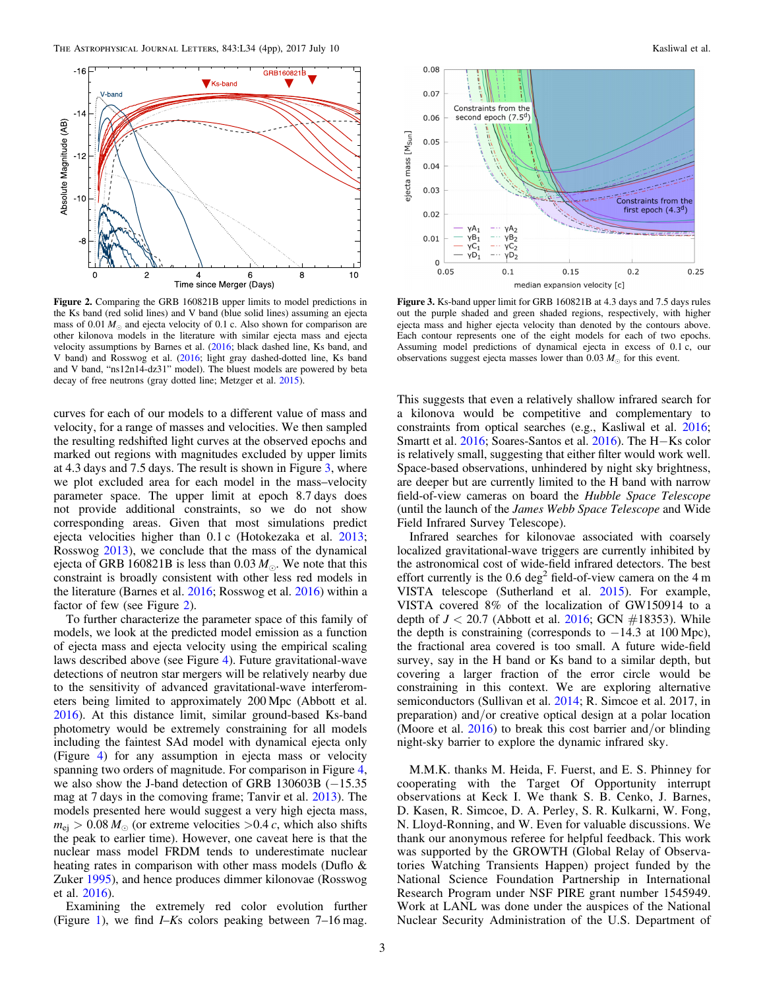<span id="page-2-0"></span>

Figure 2. Comparing the GRB 160821B upper limits to model predictions in the Ks band (red solid lines) and V band (blue solid lines) assuming an ejecta mass of 0.01  $M_{\odot}$  and ejecta velocity of 0.1 c. Also shown for comparison are other kilonova models in the literature with similar ejecta mass and ejecta velocity assumptions by Barnes et al. ([2016](#page-3-0); black dashed line, Ks band, and V band) and Rosswog et al. ([2016](#page-3-0); light gray dashed-dotted line, Ks band and V band, "ns12n14-dz31" model). The bluest models are powered by beta decay of free neutrons (gray dotted line; Metzger et al. [2015](#page-3-0)).

curves for each of our models to a different value of mass and velocity, for a range of masses and velocities. We then sampled the resulting redshifted light curves at the observed epochs and marked out regions with magnitudes excluded by upper limits at 4.3 days and 7.5 days. The result is shown in Figure 3, where we plot excluded area for each model in the mass–velocity parameter space. The upper limit at epoch 8.7 days does not provide additional constraints, so we do not show corresponding areas. Given that most simulations predict ejecta velocities higher than 0.1 c (Hotokezaka et al. [2013](#page-3-0); Rosswog [2013](#page-3-0)), we conclude that the mass of the dynamical ejecta of GRB 160821B is less than 0.03  $M_{\odot}$ . We note that this constraint is broadly consistent with other less red models in the literature (Barnes et al. [2016](#page-3-0); Rosswog et al. [2016](#page-3-0)) within a factor of few (see Figure 2).

To further characterize the parameter space of this family of models, we look at the predicted model emission as a function of ejecta mass and ejecta velocity using the empirical scaling laws described above (see Figure [4](#page-3-0)). Future gravitational-wave detections of neutron star mergers will be relatively nearby due to the sensitivity of advanced gravitational-wave interferometers being limited to approximately 200 Mpc (Abbott et al. [2016](#page-3-0)). At this distance limit, similar ground-based Ks-band photometry would be extremely constraining for all models including the faintest SAd model with dynamical ejecta only (Figure [4](#page-3-0)) for any assumption in ejecta mass or velocity spanning two orders of magnitude. For comparison in Figure [4,](#page-3-0) we also show the J-band detection of GRB 130603B (−15.35 mag at 7 days in the comoving frame; Tanvir et al. [2013](#page-3-0)). The models presented here would suggest a very high ejecta mass,  $m_{\text{ej}} > 0.08 M_{\odot}$  (or extreme velocities  $> 0.4 c$ , which also shifts the peak to earlier time). However, one caveat here is that the nuclear mass model FRDM tends to underestimate nuclear heating rates in comparison with other mass models (Duflo & Zuker [1995](#page-3-0)), and hence produces dimmer kilonovae (Rosswog et al. [2016](#page-3-0)).

Examining the extremely red color evolution further (Figure [1](#page-1-0)), we find  $I-Ks$  colors peaking between  $7-16$  mag.



Figure 3. Ks-band upper limit for GRB 160821B at 4.3 days and 7.5 days rules out the purple shaded and green shaded regions, respectively, with higher ejecta mass and higher ejecta velocity than denoted by the contours above. Each contour represents one of the eight models for each of two epochs. Assuming model predictions of dynamical ejecta in excess of 0.1 c, our observations suggest ejecta masses lower than 0.03  $M_{\odot}$  for this event.

This suggests that even a relatively shallow infrared search for a kilonova would be competitive and complementary to constraints from optical searches (e.g., Kasliwal et al. [2016](#page-3-0); Smartt et al. [2016](#page-3-0); Soares-Santos et al. [2016](#page-3-0)). The H−Ks color is relatively small, suggesting that either filter would work well. Space-based observations, unhindered by night sky brightness, are deeper but are currently limited to the H band with narrow field-of-view cameras on board the Hubble Space Telescope (until the launch of the James Webb Space Telescope and Wide Field Infrared Survey Telescope).

Infrared searches for kilonovae associated with coarsely localized gravitational-wave triggers are currently inhibited by the astronomical cost of wide-field infrared detectors. The best effort currently is the 0.6 deg<sup>2</sup> field-of-view camera on the 4 m VISTA telescope (Sutherland et al. [2015](#page-3-0)). For example, VISTA covered 8% of the localization of GW150914 to a depth of  $J < 20.7$  (Abbott et al. [2016](#page-3-0); GCN  $\#18353$ ). While the depth is constraining (corresponds to  $-14.3$  at 100 Mpc), the fractional area covered is too small. A future wide-field survey, say in the H band or Ks band to a similar depth, but covering a larger fraction of the error circle would be constraining in this context. We are exploring alternative semiconductors (Sullivan et al. [2014;](#page-3-0) R. Simcoe et al. 2017, in preparation) and/or creative optical design at a polar location (Moore et al.  $2016$ ) to break this cost barrier and/or blinding night-sky barrier to explore the dynamic infrared sky.

M.M.K. thanks M. Heida, F. Fuerst, and E. S. Phinney for cooperating with the Target Of Opportunity interrupt observations at Keck I. We thank S. B. Cenko, J. Barnes, D. Kasen, R. Simcoe, D. A. Perley, S. R. Kulkarni, W. Fong, N. Lloyd-Ronning, and W. Even for valuable discussions. We thank our anonymous referee for helpful feedback. This work was supported by the GROWTH (Global Relay of Observatories Watching Transients Happen) project funded by the National Science Foundation Partnership in International Research Program under NSF PIRE grant number 1545949. Work at LANL was done under the auspices of the National Nuclear Security Administration of the U.S. Department of